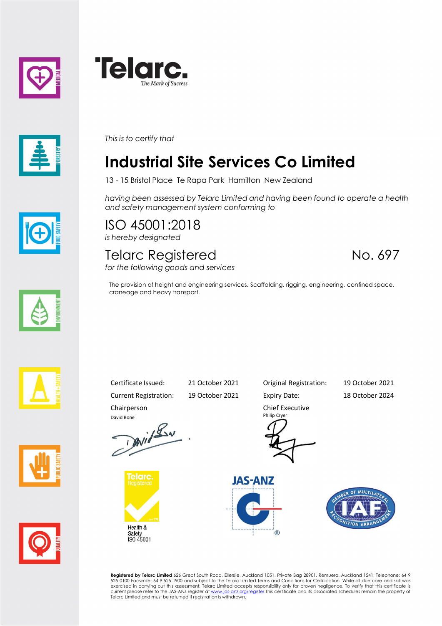





*This is to certify that*

# **Industrial Site Services Co Limited**

13 - 15 Bristol Place Te Rapa Park Hamilton New Zealand

*having been assessed by Telarc Limited and having been found to operate a health and safety management system conforming to*

ISO 45001:2018 *is hereby designated*

#### Telarc Registered No. 697 *for the following goods and services*

The provision of height and engineering services. Scaffolding, rigging, engineering, confined space, craneage and heavy transport.









Chairperson





Current Registration: 19 October 2021 Expiry Date: 18 October 2024

Certificate Issued: 21 October 2021 Original Registration: 19 October 2021

Chief Executive Philip Cryer





**Registered by Telarc Limited** 626 Great South Road, Ellerslie, Auckland 1051, Private Bag 28901, Remuera, Auckland 1541, Telephone: 64 9<br>525 0100 Facsimile: 64 9 525 1900 and subject to the Telarc Limited Terms and Condit